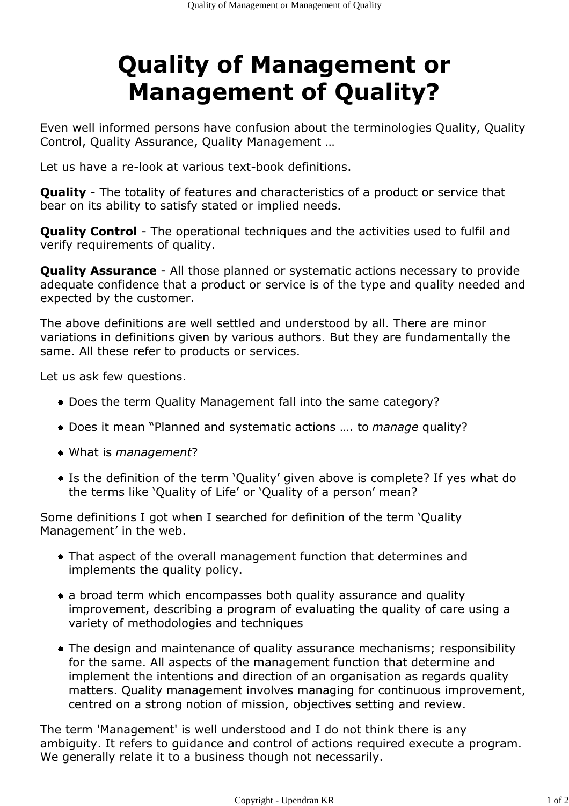## Quality of Management or Management of Quality?

Even well informed persons have confusion about the terminologies Quality, Quality Control, Quality Assurance, Quality Management …

Let us have a re-look at various text-book definitions.

**Quality** - The totality of features and characteristics of a product or service that bear on its ability to satisfy stated or implied needs.

Quality Control - The operational techniques and the activities used to fulfil and verify requirements of quality.

**Quality Assurance** - All those planned or systematic actions necessary to provide adequate confidence that a product or service is of the type and quality needed and expected by the customer.

The above definitions are well settled and understood by all. There are minor variations in definitions given by various authors. But they are fundamentally the same. All these refer to products or services.

Let us ask few questions.

- Does the term Quality Management fall into the same category?
- Does it mean "Planned and systematic actions .... to manage quality?
- What is *management*?
- Is the definition of the term 'Quality' given above is complete? If yes what do the terms like 'Quality of Life' or 'Quality of a person' mean?

Some definitions I got when I searched for definition of the term 'Quality Management' in the web.

- That aspect of the overall management function that determines and implements the quality policy.
- a broad term which encompasses both quality assurance and quality improvement, describing a program of evaluating the quality of care using a variety of methodologies and techniques
- The design and maintenance of quality assurance mechanisms; responsibility for the same. All aspects of the management function that determine and implement the intentions and direction of an organisation as regards quality matters. Quality management involves managing for continuous improvement, centred on a strong notion of mission, objectives setting and review.

The term 'Management' is well understood and I do not think there is any ambiguity. It refers to guidance and control of actions required execute a program. We generally relate it to a business though not necessarily.